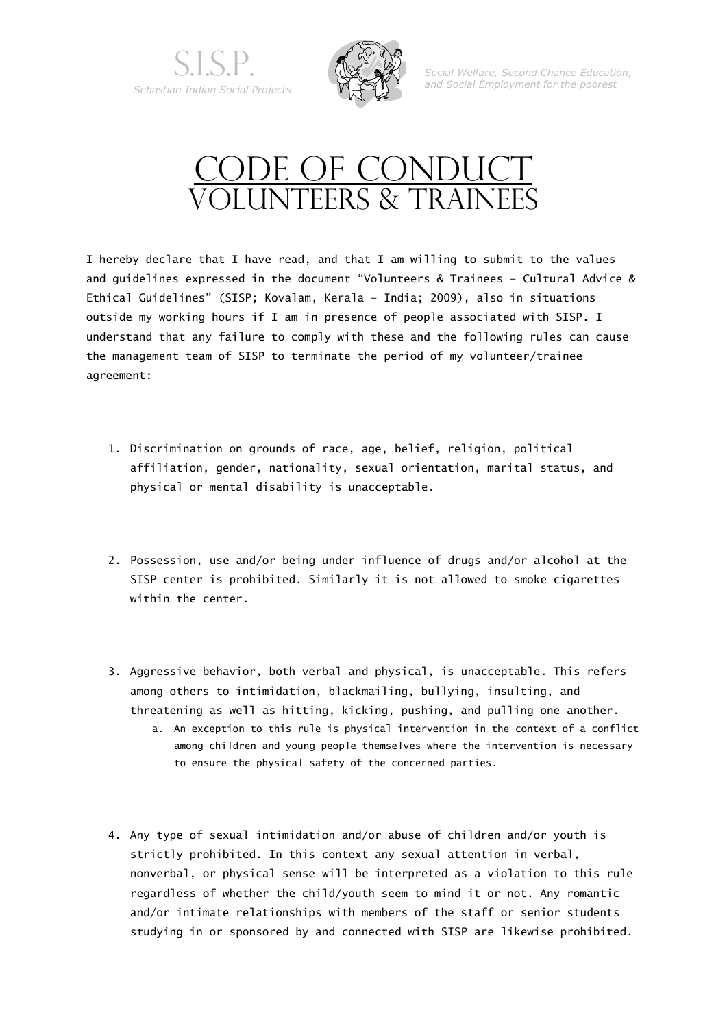



*Social Welfare, Second Chance Education, and Social Employment for the poorest*

## CODE OF CONDUCT VOLUNTEERS & TRAINEES

I hereby declare that I have read, and that I am willing to submit to the values and guidelines expressed in the document "Volunteers & Trainees – Cultural Advice & Ethical Guidelines" (SISP; Kovalam, Kerala – India; 2009), also in situations outside my working hours if I am in presence of people associated with SISP. I understand that any failure to comply with these and the following rules can cause the management team of SISP to terminate the period of my volunteer/trainee agreement:

- 1. Discrimination on grounds of race, age, belief, religion, political affiliation, gender, nationality, sexual orientation, marital status, and physical or mental disability is unacceptable.
- 2. Possession, use and/or being under influence of drugs and/or alcohol at the SISP center is prohibited. Similarly it is not allowed to smoke cigarettes within the center.
- 3. Aggressive behavior, both verbal and physical, is unacceptable. This refers among others to intimidation, blackmailing, bullying, insulting, and threatening as well as hitting, kicking, pushing, and pulling one another.
	- a. An exception to this rule is physical intervention in the context of a conflict among children and young people themselves where the intervention is necessary to ensure the physical safety of the concerned parties.
- 4. Any type of sexual intimidation and/or abuse of children and/or youth is strictly prohibited. In this context any sexual attention in verbal, nonverbal, or physical sense will be interpreted as a violation to this rule regardless of whether the child/youth seem to mind it or not. Any romantic and/or intimate relationships with members of the staff or senior students studying in or sponsored by and connected with SISP are likewise prohibited.